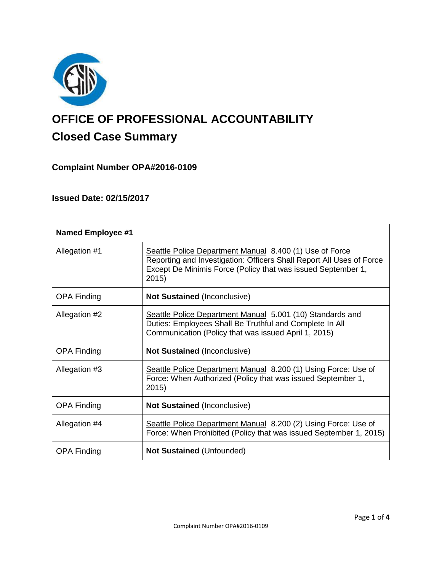

# **OFFICE OF PROFESSIONAL ACCOUNTABILITY Closed Case Summary**

# **Complaint Number OPA#2016-0109**

## **Issued Date: 02/15/2017**

| <b>Named Employee #1</b> |                                                                                                                                                                                                          |
|--------------------------|----------------------------------------------------------------------------------------------------------------------------------------------------------------------------------------------------------|
| Allegation #1            | Seattle Police Department Manual 8.400 (1) Use of Force<br>Reporting and Investigation: Officers Shall Report All Uses of Force<br>Except De Minimis Force (Policy that was issued September 1,<br>2015) |
| <b>OPA Finding</b>       | <b>Not Sustained (Inconclusive)</b>                                                                                                                                                                      |
| Allegation #2            | Seattle Police Department Manual 5.001 (10) Standards and<br>Duties: Employees Shall Be Truthful and Complete In All<br>Communication (Policy that was issued April 1, 2015)                             |
| <b>OPA Finding</b>       | <b>Not Sustained (Inconclusive)</b>                                                                                                                                                                      |
| Allegation #3            | Seattle Police Department Manual 8.200 (1) Using Force: Use of<br>Force: When Authorized (Policy that was issued September 1,<br>2015)                                                                   |
| <b>OPA Finding</b>       | <b>Not Sustained (Inconclusive)</b>                                                                                                                                                                      |
| Allegation #4            | Seattle Police Department Manual 8.200 (2) Using Force: Use of<br>Force: When Prohibited (Policy that was issued September 1, 2015)                                                                      |
| <b>OPA Finding</b>       | <b>Not Sustained (Unfounded)</b>                                                                                                                                                                         |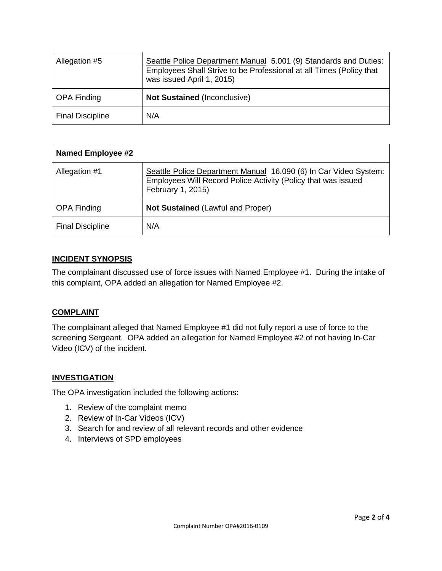| Allegation #5           | Seattle Police Department Manual 5.001 (9) Standards and Duties:<br>Employees Shall Strive to be Professional at all Times (Policy that<br>was issued April 1, 2015) |
|-------------------------|----------------------------------------------------------------------------------------------------------------------------------------------------------------------|
| <b>OPA Finding</b>      | <b>Not Sustained (Inconclusive)</b>                                                                                                                                  |
| <b>Final Discipline</b> | N/A                                                                                                                                                                  |

| <b>Named Employee #2</b> |                                                                                                                                                        |
|--------------------------|--------------------------------------------------------------------------------------------------------------------------------------------------------|
| Allegation #1            | Seattle Police Department Manual 16.090 (6) In Car Video System:<br>Employees Will Record Police Activity (Policy that was issued<br>February 1, 2015) |
| <b>OPA Finding</b>       | Not Sustained (Lawful and Proper)                                                                                                                      |
| <b>Final Discipline</b>  | N/A                                                                                                                                                    |

## **INCIDENT SYNOPSIS**

The complainant discussed use of force issues with Named Employee #1. During the intake of this complaint, OPA added an allegation for Named Employee #2.

## **COMPLAINT**

The complainant alleged that Named Employee #1 did not fully report a use of force to the screening Sergeant. OPA added an allegation for Named Employee #2 of not having In-Car Video (ICV) of the incident.

## **INVESTIGATION**

The OPA investigation included the following actions:

- 1. Review of the complaint memo
- 2. Review of In-Car Videos (ICV)
- 3. Search for and review of all relevant records and other evidence
- 4. Interviews of SPD employees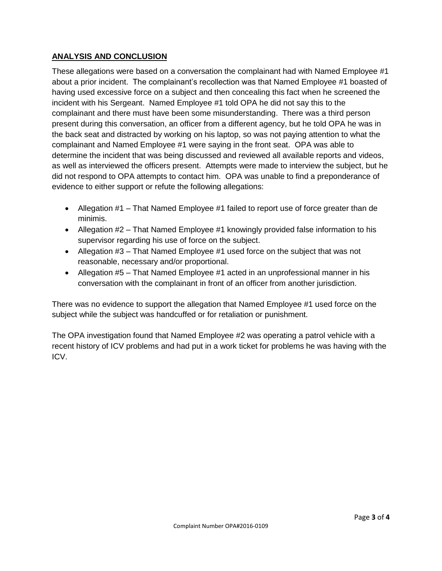## **ANALYSIS AND CONCLUSION**

These allegations were based on a conversation the complainant had with Named Employee #1 about a prior incident. The complainant's recollection was that Named Employee #1 boasted of having used excessive force on a subject and then concealing this fact when he screened the incident with his Sergeant. Named Employee #1 told OPA he did not say this to the complainant and there must have been some misunderstanding. There was a third person present during this conversation, an officer from a different agency, but he told OPA he was in the back seat and distracted by working on his laptop, so was not paying attention to what the complainant and Named Employee #1 were saying in the front seat. OPA was able to determine the incident that was being discussed and reviewed all available reports and videos, as well as interviewed the officers present. Attempts were made to interview the subject, but he did not respond to OPA attempts to contact him. OPA was unable to find a preponderance of evidence to either support or refute the following allegations:

- Allegation #1 That Named Employee #1 failed to report use of force greater than de minimis.
- Allegation #2 That Named Employee #1 knowingly provided false information to his supervisor regarding his use of force on the subject.
- Allegation  $#3$  That Named Employee  $#1$  used force on the subject that was not reasonable, necessary and/or proportional.
- Allegation #5 That Named Employee #1 acted in an unprofessional manner in his conversation with the complainant in front of an officer from another jurisdiction.

There was no evidence to support the allegation that Named Employee #1 used force on the subject while the subject was handcuffed or for retaliation or punishment.

The OPA investigation found that Named Employee #2 was operating a patrol vehicle with a recent history of ICV problems and had put in a work ticket for problems he was having with the ICV.